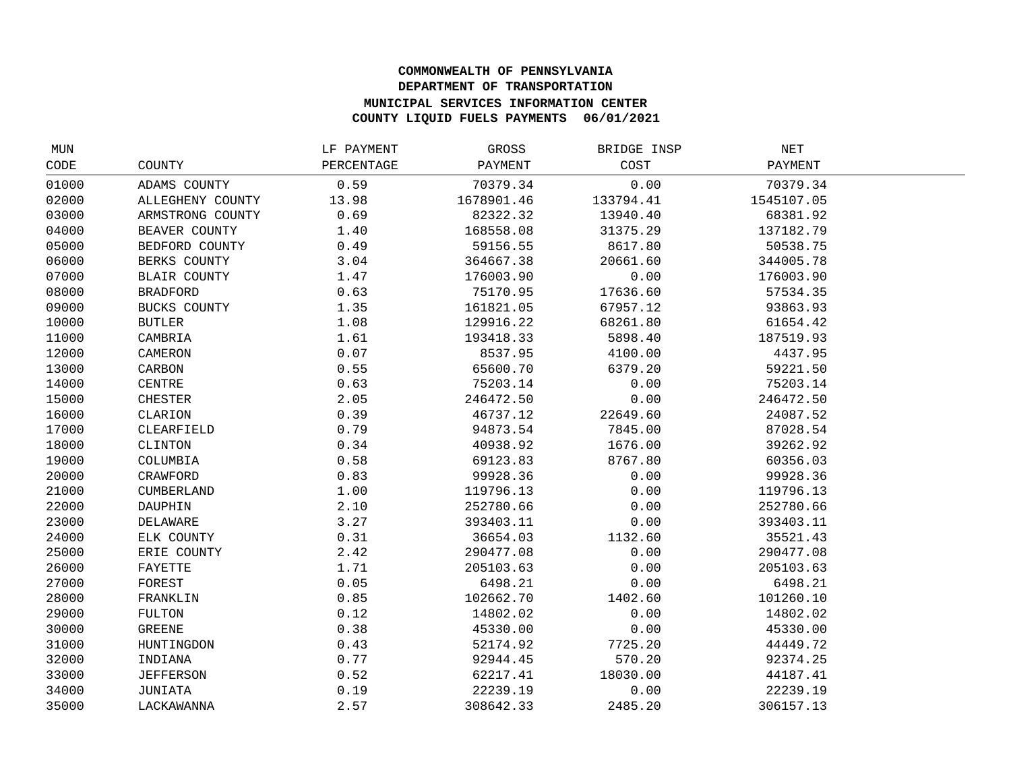## **COMMONWEALTH OF PENNSYLVANIA DEPARTMENT OF TRANSPORTATION MUNICIPAL SERVICES INFORMATION CENTER COUNTY LIQUID FUELS PAYMENTS 06/01/2021**

| MUN   |                     | LF PAYMENT | GROSS      | BRIDGE INSP | NET        |  |
|-------|---------------------|------------|------------|-------------|------------|--|
| CODE  | COUNTY              | PERCENTAGE | PAYMENT    | COST        | PAYMENT    |  |
| 01000 | ADAMS COUNTY        | 0.59       | 70379.34   | 0.00        | 70379.34   |  |
| 02000 | ALLEGHENY COUNTY    | 13.98      | 1678901.46 | 133794.41   | 1545107.05 |  |
| 03000 | ARMSTRONG COUNTY    | 0.69       | 82322.32   | 13940.40    | 68381.92   |  |
| 04000 | BEAVER COUNTY       | 1.40       | 168558.08  | 31375.29    | 137182.79  |  |
| 05000 | BEDFORD COUNTY      | 0.49       | 59156.55   | 8617.80     | 50538.75   |  |
| 06000 | BERKS COUNTY        | 3.04       | 364667.38  | 20661.60    | 344005.78  |  |
| 07000 | <b>BLAIR COUNTY</b> | 1.47       | 176003.90  | 0.00        | 176003.90  |  |
| 08000 | <b>BRADFORD</b>     | 0.63       | 75170.95   | 17636.60    | 57534.35   |  |
| 09000 | BUCKS COUNTY        | 1.35       | 161821.05  | 67957.12    | 93863.93   |  |
| 10000 | <b>BUTLER</b>       | 1.08       | 129916.22  | 68261.80    | 61654.42   |  |
| 11000 | CAMBRIA             | 1.61       | 193418.33  | 5898.40     | 187519.93  |  |
| 12000 | CAMERON             | 0.07       | 8537.95    | 4100.00     | 4437.95    |  |
| 13000 | CARBON              | 0.55       | 65600.70   | 6379.20     | 59221.50   |  |
| 14000 | CENTRE              | 0.63       | 75203.14   | 0.00        | 75203.14   |  |
| 15000 | <b>CHESTER</b>      | 2.05       | 246472.50  | 0.00        | 246472.50  |  |
| 16000 | CLARION             | 0.39       | 46737.12   | 22649.60    | 24087.52   |  |
| 17000 | CLEARFIELD          | 0.79       | 94873.54   | 7845.00     | 87028.54   |  |
| 18000 | CLINTON             | 0.34       | 40938.92   | 1676.00     | 39262.92   |  |
| 19000 | COLUMBIA            | 0.58       | 69123.83   | 8767.80     | 60356.03   |  |
| 20000 | CRAWFORD            | 0.83       | 99928.36   | 0.00        | 99928.36   |  |
| 21000 | <b>CUMBERLAND</b>   | 1.00       | 119796.13  | 0.00        | 119796.13  |  |
| 22000 | DAUPHIN             | 2.10       | 252780.66  | 0.00        | 252780.66  |  |
| 23000 | DELAWARE            | 3.27       | 393403.11  | 0.00        | 393403.11  |  |
| 24000 | ELK COUNTY          | 0.31       | 36654.03   | 1132.60     | 35521.43   |  |
| 25000 | ERIE COUNTY         | 2.42       | 290477.08  | 0.00        | 290477.08  |  |
| 26000 | FAYETTE             | 1.71       | 205103.63  | 0.00        | 205103.63  |  |
| 27000 | FOREST              | 0.05       | 6498.21    | 0.00        | 6498.21    |  |
| 28000 | FRANKLIN            | 0.85       | 102662.70  | 1402.60     | 101260.10  |  |
| 29000 | FULTON              | 0.12       | 14802.02   | 0.00        | 14802.02   |  |
| 30000 | <b>GREENE</b>       | 0.38       | 45330.00   | 0.00        | 45330.00   |  |
| 31000 | HUNTINGDON          | 0.43       | 52174.92   | 7725.20     | 44449.72   |  |
| 32000 | INDIANA             | 0.77       | 92944.45   | 570.20      | 92374.25   |  |
| 33000 | <b>JEFFERSON</b>    | 0.52       | 62217.41   | 18030.00    | 44187.41   |  |
| 34000 | JUNIATA             | 0.19       | 22239.19   | 0.00        | 22239.19   |  |
| 35000 | LACKAWANNA          | 2.57       | 308642.33  | 2485.20     | 306157.13  |  |